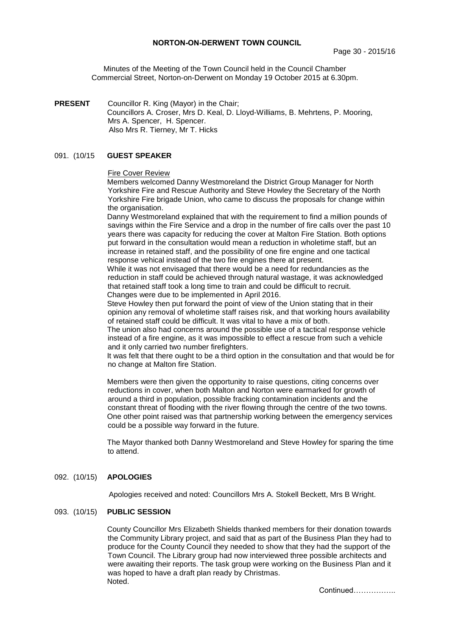## **NORTON-ON-DERWENT TOWN COUNCIL**

Minutes of the Meeting of the Town Council held in the Council Chamber Commercial Street, Norton-on-Derwent on Monday 19 October 2015 at 6.30pm.

**PRESENT** Councillor R. King (Mayor) in the Chair; Councillors A. Croser, Mrs D. Keal, D. Lloyd-Williams, B. Mehrtens, P. Mooring, Mrs A. Spencer, H. Spencer. Also Mrs R. Tierney, Mr T. Hicks

## 091. (10/15 **GUEST SPEAKER**

#### Fire Cover Review

Members welcomed Danny Westmoreland the District Group Manager for North Yorkshire Fire and Rescue Authority and Steve Howley the Secretary of the North Yorkshire Fire brigade Union, who came to discuss the proposals for change within the organisation.

Danny Westmoreland explained that with the requirement to find a million pounds of savings within the Fire Service and a drop in the number of fire calls over the past 10 years there was capacity for reducing the cover at Malton Fire Station. Both options put forward in the consultation would mean a reduction in wholetime staff, but an increase in retained staff, and the possibility of one fire engine and one tactical response vehical instead of the two fire engines there at present.

While it was not envisaged that there would be a need for redundancies as the reduction in staff could be achieved through natural wastage, it was acknowledged that retained staff took a long time to train and could be difficult to recruit. Changes were due to be implemented in April 2016.

Steve Howley then put forward the point of view of the Union stating that in their opinion any removal of wholetime staff raises risk, and that working hours availability of retained staff could be difficult. It was vital to have a mix of both.

The union also had concerns around the possible use of a tactical response vehicle instead of a fire engine, as it was impossible to effect a rescue from such a vehicle and it only carried two number firefighters.

It was felt that there ought to be a third option in the consultation and that would be for no change at Malton fire Station.

Members were then given the opportunity to raise questions, citing concerns over reductions in cover, when both Malton and Norton were earmarked for growth of around a third in population, possible fracking contamination incidents and the constant threat of flooding with the river flowing through the centre of the two towns. One other point raised was that partnership working between the emergency services could be a possible way forward in the future.

The Mayor thanked both Danny Westmoreland and Steve Howley for sparing the time to attend.

#### 092. (10/15) **APOLOGIES**

Apologies received and noted: Councillors Mrs A. Stokell Beckett, Mrs B Wright.

#### 093. (10/15) **PUBLIC SESSION**

County Councillor Mrs Elizabeth Shields thanked members for their donation towards the Community Library project, and said that as part of the Business Plan they had to produce for the County Council they needed to show that they had the support of the Town Council. The Library group had now interviewed three possible architects and were awaiting their reports. The task group were working on the Business Plan and it was hoped to have a draft plan ready by Christmas. Noted.

Continued……………..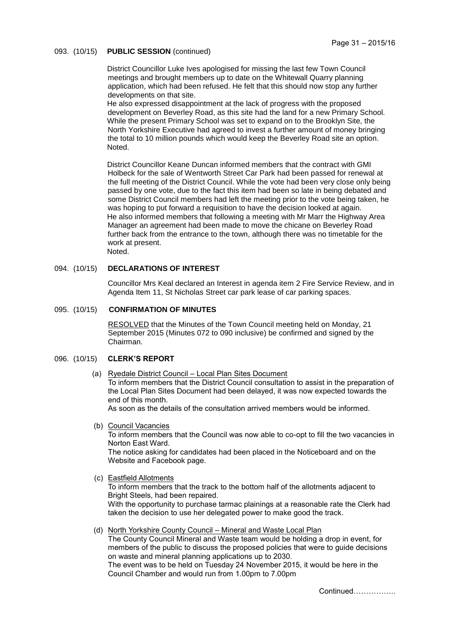# 093. (10/15) **PUBLIC SESSION** (continued)

District Councillor Luke Ives apologised for missing the last few Town Council meetings and brought members up to date on the Whitewall Quarry planning application, which had been refused. He felt that this should now stop any further developments on that site.

He also expressed disappointment at the lack of progress with the proposed development on Beverley Road, as this site had the land for a new Primary School. While the present Primary School was set to expand on to the Brooklyn Site, the North Yorkshire Executive had agreed to invest a further amount of money bringing the total to 10 million pounds which would keep the Beverley Road site an option. Noted.

District Councillor Keane Duncan informed members that the contract with GMI Holbeck for the sale of Wentworth Street Car Park had been passed for renewal at the full meeting of the District Council. While the vote had been very close only being passed by one vote, due to the fact this item had been so late in being debated and some District Council members had left the meeting prior to the vote being taken, he was hoping to put forward a requisition to have the decision looked at again. He also informed members that following a meeting with Mr Marr the Highway Area Manager an agreement had been made to move the chicane on Beverley Road further back from the entrance to the town, although there was no timetable for the work at present. Noted.

# 094. (10/15) **DECLARATIONS OF INTEREST**

Councillor Mrs Keal declared an Interest in agenda item 2 Fire Service Review, and in Agenda Item 11, St Nicholas Street car park lease of car parking spaces.

#### 095. (10/15) **CONFIRMATION OF MINUTES**

RESOLVED that the Minutes of the Town Council meeting held on Monday, 21 September 2015 (Minutes 072 to 090 inclusive) be confirmed and signed by the Chairman.

# 096. (10/15) **CLERK'S REPORT**

 (a) Ryedale District Council – Local Plan Sites Document To inform members that the District Council consultation to assist in the preparation of the Local Plan Sites Document had been delayed, it was now expected towards the end of this month.

As soon as the details of the consultation arrived members would be informed.

(b) Council Vacancies

To inform members that the Council was now able to co-opt to fill the two vacancies in Norton East Ward.

The notice asking for candidates had been placed in the Noticeboard and on the Website and Facebook page.

(c) Eastfield Allotments

To inform members that the track to the bottom half of the allotments adjacent to Bright Steels, had been repaired. With the opportunity to purchase tarmac plainings at a reasonable rate the Clerk had taken the decision to use her delegated power to make good the track.

 (d) North Yorkshire County Council – Mineral and Waste Local Plan The County Council Mineral and Waste team would be holding a drop in event, for members of the public to discuss the proposed policies that were to guide decisions on waste and mineral planning applications up to 2030. The event was to be held on Tuesday 24 November 2015, it would be here in the Council Chamber and would run from 1.00pm to 7.00pm

Continued……………..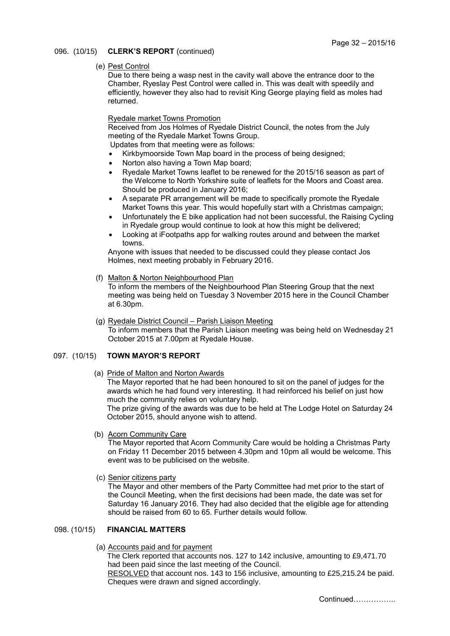# 096. (10/15) **CLERK'S REPORT** (continued)

#### (e) Pest Control

Due to there being a wasp nest in the cavity wall above the entrance door to the Chamber, Ryeslay Pest Control were called in. This was dealt with speedily and efficiently, however they also had to revisit King George playing field as moles had returned.

## Ryedale market Towns Promotion

Received from Jos Holmes of Ryedale District Council, the notes from the July meeting of the Ryedale Market Towns Group.

Updates from that meeting were as follows:

- Kirkbymoorside Town Map board in the process of being designed;
- Norton also having a Town Map board;
- Ryedale Market Towns leaflet to be renewed for the 2015/16 season as part of the Welcome to North Yorkshire suite of leaflets for the Moors and Coast area. Should be produced in January 2016;
- A separate PR arrangement will be made to specifically promote the Ryedale Market Towns this year. This would hopefully start with a Christmas campaign;
- Unfortunately the E bike application had not been successful, the Raising Cycling in Ryedale group would continue to look at how this might be delivered;
- Looking at iFootpaths app for walking routes around and between the market towns.

Anyone with issues that needed to be discussed could they please contact Jos Holmes, next meeting probably in February 2016.

(f) Malton & Norton Neighbourhood Plan

To inform the members of the Neighbourhood Plan Steering Group that the next meeting was being held on Tuesday 3 November 2015 here in the Council Chamber at 6.30pm.

 (g) Ryedale District Council – Parish Liaison Meeting To inform members that the Parish Liaison meeting was being held on Wednesday 21 October 2015 at 7.00pm at Ryedale House.

# 097. (10/15) **TOWN MAYOR'S REPORT**

(a) Pride of Malton and Norton Awards

The Mayor reported that he had been honoured to sit on the panel of judges for the awards which he had found very interesting. It had reinforced his belief on just how much the community relies on voluntary help.

The prize giving of the awards was due to be held at The Lodge Hotel on Saturday 24 October 2015, should anyone wish to attend.

(b) Acorn Community Care

The Mayor reported that Acorn Community Care would be holding a Christmas Party on Friday 11 December 2015 between 4.30pm and 10pm all would be welcome. This event was to be publicised on the website.

(c) Senior citizens party

The Mayor and other members of the Party Committee had met prior to the start of the Council Meeting, when the first decisions had been made, the date was set for Saturday 16 January 2016. They had also decided that the eligible age for attending should be raised from 60 to 65. Further details would follow.

## 098. (10/15) **FINANCIAL MATTERS**

(a) Accounts paid and for payment

The Clerk reported that accounts nos. 127 to 142 inclusive, amounting to £9,471.70 had been paid since the last meeting of the Council.

 RESOLVED that account nos. 143 to 156 inclusive, amounting to £25,215.24 be paid. Cheques were drawn and signed accordingly.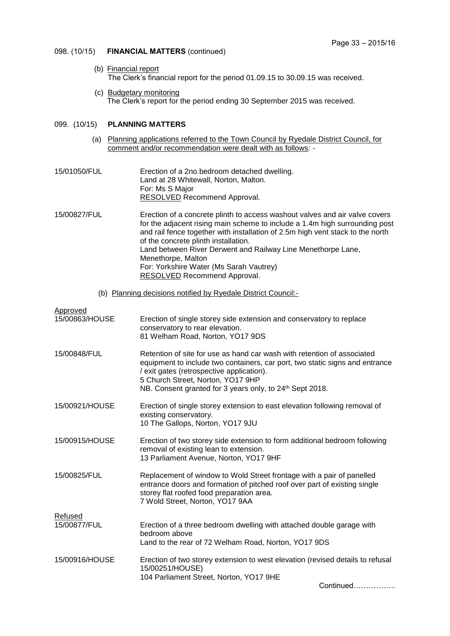### 098. (10/15) **FINANCIAL MATTERS** (continued)

- (b) Financial report The Clerk's financial report for the period 01.09.15 to 30.09.15 was received.
- (c) Budgetary monitoring The Clerk's report for the period ending 30 September 2015 was received.

# 099. (10/15) **PLANNING MATTERS**

- (a) Planning applications referred to the Town Council by Ryedale District Council, for comment and/or recommendation were dealt with as follows: -
- 15/01050/FUL Erection of a 2no.bedroom detached dwelling. Land at 28 Whitewall, Norton, Malton. For: Ms S Major RESOLVED Recommend Approval.

15/00827/FUL Erection of a concrete plinth to access washout valves and air valve covers for the adjacent rising main scheme to include a 1.4m high surrounding post and rail fence together with installation of 2.5m high vent stack to the north of the concrete plinth installation. Land between River Derwent and Railway Line Menethorpe Lane, Menethorpe, Malton For: Yorkshire Water (Ms Sarah Vautrey) RESOLVED Recommend Approval.

(b) Planning decisions notified by Ryedale District Council:-

| Approved<br>15/00863/HOUSE | Erection of single storey side extension and conservatory to replace<br>conservatory to rear elevation.<br>81 Welham Road, Norton, YO17 9DS                                                                                                                                                                       |
|----------------------------|-------------------------------------------------------------------------------------------------------------------------------------------------------------------------------------------------------------------------------------------------------------------------------------------------------------------|
| 15/00848/FUL               | Retention of site for use as hand car wash with retention of associated<br>equipment to include two containers, car port, two static signs and entrance<br>/ exit gates (retrospective application).<br>5 Church Street, Norton, YO17 9HP<br>NB. Consent granted for 3 years only, to 24 <sup>th</sup> Sept 2018. |
| 15/00921/HOUSE             | Erection of single storey extension to east elevation following removal of<br>existing conservatory.<br>10 The Gallops, Norton, YO17 9JU                                                                                                                                                                          |
| 15/00915/HOUSE             | Erection of two storey side extension to form additional bedroom following<br>removal of existing lean to extension.<br>13 Parliament Avenue, Norton, YO17 9HF                                                                                                                                                    |
| 15/00825/FUL               | Replacement of window to Wold Street frontage with a pair of panelled<br>entrance doors and formation of pitched roof over part of existing single<br>storey flat roofed food preparation area.<br>7 Wold Street, Norton, YO17 9AA                                                                                |
| Refused                    |                                                                                                                                                                                                                                                                                                                   |
| 15/00877/FUL               | Erection of a three bedroom dwelling with attached double garage with<br>bedroom above<br>Land to the rear of 72 Welham Road, Norton, YO17 9DS                                                                                                                                                                    |
| 15/00916/HOUSE             | Erection of two storey extension to west elevation (revised details to refusal<br>15/00251/HOUSE)<br>104 Parliament Street, Norton, YO17 9HE<br>Continued                                                                                                                                                         |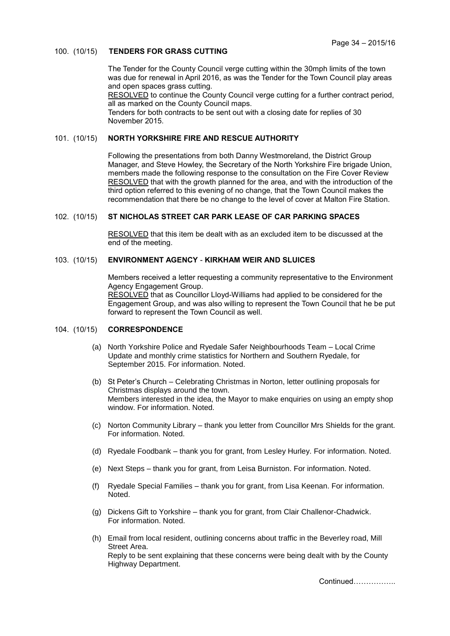### 100. (10/15) **TENDERS FOR GRASS CUTTING**

The Tender for the County Council verge cutting within the 30mph limits of the town was due for renewal in April 2016, as was the Tender for the Town Council play areas and open spaces grass cutting.

RESOLVED to continue the County Council verge cutting for a further contract period, all as marked on the County Council maps.

Tenders for both contracts to be sent out with a closing date for replies of 30 November 2015.

## 101. (10/15) **NORTH YORKSHIRE FIRE AND RESCUE AUTHORITY**

Following the presentations from both Danny Westmoreland, the District Group Manager, and Steve Howley, the Secretary of the North Yorkshire Fire brigade Union, members made the following response to the consultation on the Fire Cover Review RESOLVED that with the growth planned for the area, and with the introduction of the third option referred to this evening of no change, that the Town Council makes the recommendation that there be no change to the level of cover at Malton Fire Station.

#### 102. (10/15) **ST NICHOLAS STREET CAR PARK LEASE OF CAR PARKING SPACES**

RESOLVED that this item be dealt with as an excluded item to be discussed at the end of the meeting.

# 103. (10/15) **ENVIRONMENT AGENCY** - **KIRKHAM WEIR AND SLUICES**

Members received a letter requesting a community representative to the Environment Agency Engagement Group. RESOLVED that as Councillor Lloyd-Williams had applied to be considered for the Engagement Group, and was also willing to represent the Town Council that he be put forward to represent the Town Council as well.

# 104. (10/15) **CORRESPONDENCE**

- (a) North Yorkshire Police and Ryedale Safer Neighbourhoods Team Local Crime Update and monthly crime statistics for Northern and Southern Ryedale, for September 2015. For information. Noted.
- (b) St Peter's Church Celebrating Christmas in Norton, letter outlining proposals for Christmas displays around the town. Members interested in the idea, the Mayor to make enquiries on using an empty shop window. For information. Noted.
- (c) Norton Community Library thank you letter from Councillor Mrs Shields for the grant. For information. Noted.
- (d) Ryedale Foodbank thank you for grant, from Lesley Hurley. For information. Noted.
- (e) Next Steps thank you for grant, from Leisa Burniston. For information. Noted.
- (f) Ryedale Special Families thank you for grant, from Lisa Keenan. For information. Noted.
- (g) Dickens Gift to Yorkshire thank you for grant, from Clair Challenor-Chadwick. For information. Noted.
- (h) Email from local resident, outlining concerns about traffic in the Beverley road, Mill Street Area. Reply to be sent explaining that these concerns were being dealt with by the County Highway Department.

Continued……………..